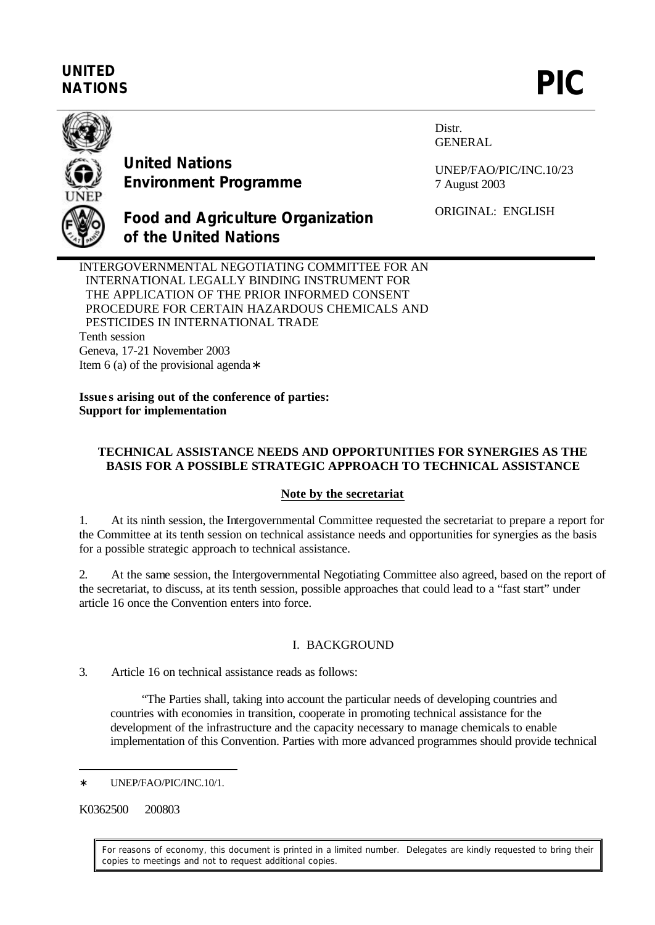# **UNITED** UNITED<br>NATIONS **PIC**



**United Nations Environment Programme** Distr. GENERAL

UNEP/FAO/PIC/INC.10/23 7 August 2003

ORIGINAL: ENGLISH

**Food and Agriculture Organization of the United Nations**

INTERGOVERNMENTAL NEGOTIATING COMMITTEE FOR AN INTERNATIONAL LEGALLY BINDING INSTRUMENT FOR THE APPLICATION OF THE PRIOR INFORMED CONSENT PROCEDURE FOR CERTAIN HAZARDOUS CHEMICALS AND PESTICIDES IN INTERNATIONAL TRADE Tenth session Geneva, 17-21 November 2003 Item 6 (a) of the provisional agenda∗

**Issue s arising out of the conference of parties: Support for implementation**

# **TECHNICAL ASSISTANCE NEEDS AND OPPORTUNITIES FOR SYNERGIES AS THE BASIS FOR A POSSIBLE STRATEGIC APPROACH TO TECHNICAL ASSISTANCE**

## **Note by the secretariat**

1. At its ninth session, the Intergovernmental Committee requested the secretariat to prepare a report for the Committee at its tenth session on technical assistance needs and opportunities for synergies as the basis for a possible strategic approach to technical assistance.

2. At the same session, the Intergovernmental Negotiating Committee also agreed, based on the report of the secretariat, to discuss, at its tenth session, possible approaches that could lead to a "fast start" under article 16 once the Convention enters into force.

# I. BACKGROUND

3. Article 16 on technical assistance reads as follows:

"The Parties shall, taking into account the particular needs of developing countries and countries with economies in transition, cooperate in promoting technical assistance for the development of the infrastructure and the capacity necessary to manage chemicals to enable implementation of this Convention. Parties with more advanced programmes should provide technical

K0362500 200803

 $\overline{a}$ 

For reasons of economy, this document is printed in a limited number. Delegates are kindly requested to bring their copies to meetings and not to request additional copies.

UNEP/FAO/PIC/INC.10/1.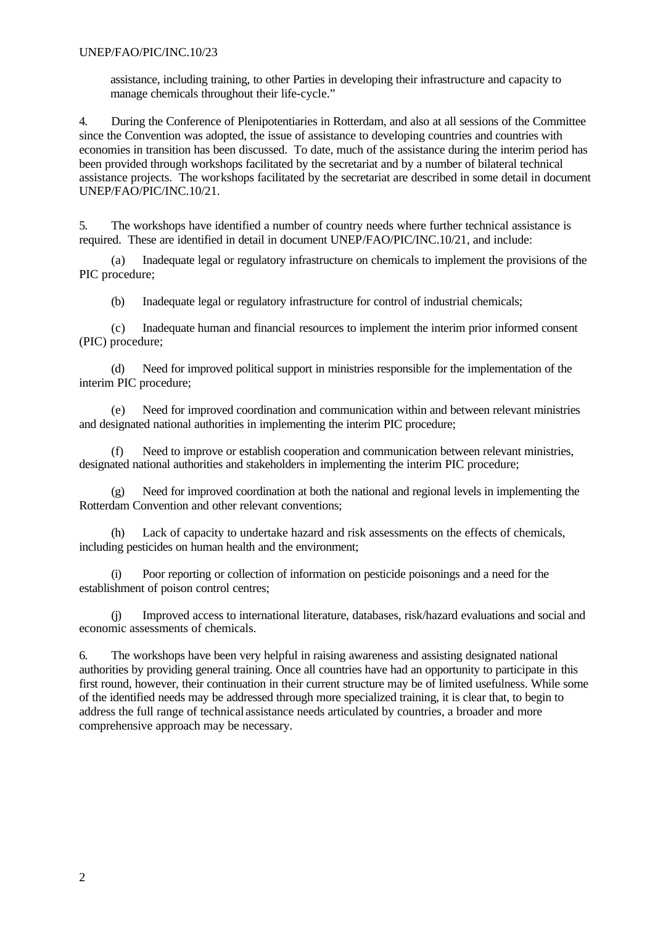assistance, including training, to other Parties in developing their infrastructure and capacity to manage chemicals throughout their life-cycle."

4. During the Conference of Plenipotentiaries in Rotterdam, and also at all sessions of the Committee since the Convention was adopted, the issue of assistance to developing countries and countries with economies in transition has been discussed. To date, much of the assistance during the interim period has been provided through workshops facilitated by the secretariat and by a number of bilateral technical assistance projects. The workshops facilitated by the secretariat are described in some detail in document UNEP/FAO/PIC/INC.10/21.

5. The workshops have identified a number of country needs where further technical assistance is required. These are identified in detail in document UNEP/FAO/PIC/INC.10/21, and include:

(a) Inadequate legal or regulatory infrastructure on chemicals to implement the provisions of the PIC procedure;

(b) Inadequate legal or regulatory infrastructure for control of industrial chemicals;

(c) Inadequate human and financial resources to implement the interim prior informed consent (PIC) procedure;

(d) Need for improved political support in ministries responsible for the implementation of the interim PIC procedure;

(e) Need for improved coordination and communication within and between relevant ministries and designated national authorities in implementing the interim PIC procedure;

(f) Need to improve or establish cooperation and communication between relevant ministries, designated national authorities and stakeholders in implementing the interim PIC procedure;

(g) Need for improved coordination at both the national and regional levels in implementing the Rotterdam Convention and other relevant conventions;

(h) Lack of capacity to undertake hazard and risk assessments on the effects of chemicals, including pesticides on human health and the environment;

(i) Poor reporting or collection of information on pesticide poisonings and a need for the establishment of poison control centres;

(j) Improved access to international literature, databases, risk/hazard evaluations and social and economic assessments of chemicals.

6. The workshops have been very helpful in raising awareness and assisting designated national authorities by providing general training. Once all countries have had an opportunity to participate in this first round, however, their continuation in their current structure may be of limited usefulness. While some of the identified needs may be addressed through more specialized training, it is clear that, to begin to address the full range of technical assistance needs articulated by countries, a broader and more comprehensive approach may be necessary.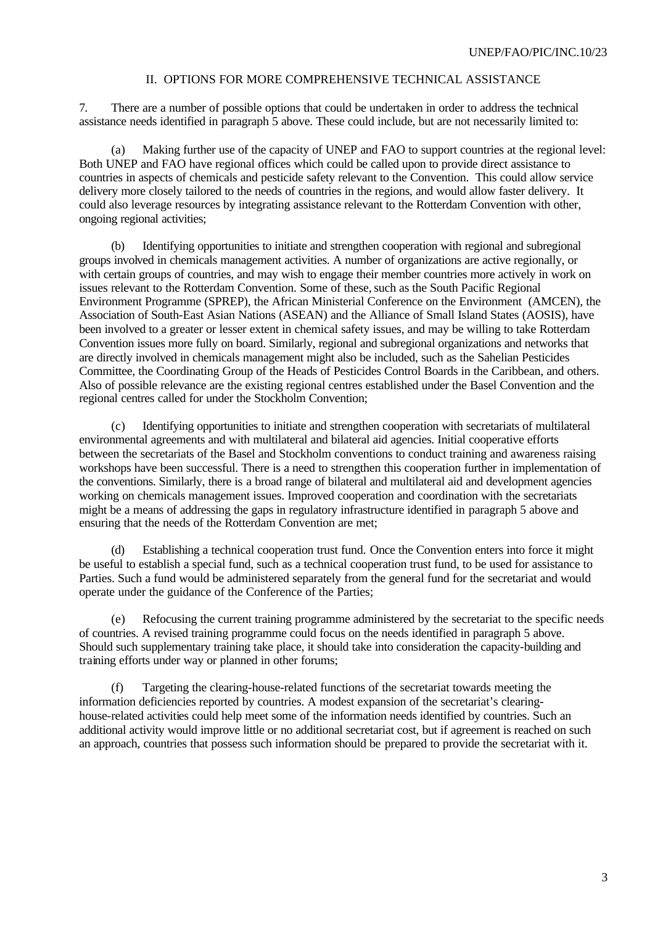#### II. OPTIONS FOR MORE COMPREHENSIVE TECHNICAL ASSISTANCE

7. There are a number of possible options that could be undertaken in order to address the technical assistance needs identified in paragraph 5 above. These could include, but are not necessarily limited to:

(a) Making further use of the capacity of UNEP and FAO to support countries at the regional level: Both UNEP and FAO have regional offices which could be called upon to provide direct assistance to countries in aspects of chemicals and pesticide safety relevant to the Convention. This could allow service delivery more closely tailored to the needs of countries in the regions, and would allow faster delivery. It could also leverage resources by integrating assistance relevant to the Rotterdam Convention with other, ongoing regional activities;

(b) Identifying opportunities to initiate and strengthen cooperation with regional and subregional groups involved in chemicals management activities. A number of organizations are active regionally, or with certain groups of countries, and may wish to engage their member countries more actively in work on issues relevant to the Rotterdam Convention. Some of these, such as the South Pacific Regional Environment Programme (SPREP), the African Ministerial Conference on the Environment (AMCEN), the Association of South-East Asian Nations (ASEAN) and the Alliance of Small Island States (AOSIS), have been involved to a greater or lesser extent in chemical safety issues, and may be willing to take Rotterdam Convention issues more fully on board. Similarly, regional and subregional organizations and networks that are directly involved in chemicals management might also be included, such as the Sahelian Pesticides Committee, the Coordinating Group of the Heads of Pesticides Control Boards in the Caribbean, and others. Also of possible relevance are the existing regional centres established under the Basel Convention and the regional centres called for under the Stockholm Convention;

(c) Identifying opportunities to initiate and strengthen cooperation with secretariats of multilateral environmental agreements and with multilateral and bilateral aid agencies. Initial cooperative efforts between the secretariats of the Basel and Stockholm conventions to conduct training and awareness raising workshops have been successful. There is a need to strengthen this cooperation further in implementation of the conventions. Similarly, there is a broad range of bilateral and multilateral aid and development agencies working on chemicals management issues. Improved cooperation and coordination with the secretariats might be a means of addressing the gaps in regulatory infrastructure identified in paragraph 5 above and ensuring that the needs of the Rotterdam Convention are met;

(d) Establishing a technical cooperation trust fund. Once the Convention enters into force it might be useful to establish a special fund, such as a technical cooperation trust fund, to be used for assistance to Parties. Such a fund would be administered separately from the general fund for the secretariat and would operate under the guidance of the Conference of the Parties;

(e) Refocusing the current training programme administered by the secretariat to the specific needs of countries. A revised training programme could focus on the needs identified in paragraph 5 above. Should such supplementary training take place, it should take into consideration the capacity-building and training efforts under way or planned in other forums;

(f) Targeting the clearing-house-related functions of the secretariat towards meeting the information deficiencies reported by countries. A modest expansion of the secretariat's clearinghouse-related activities could help meet some of the information needs identified by countries. Such an additional activity would improve little or no additional secretariat cost, but if agreement is reached on such an approach, countries that possess such information should be prepared to provide the secretariat with it.